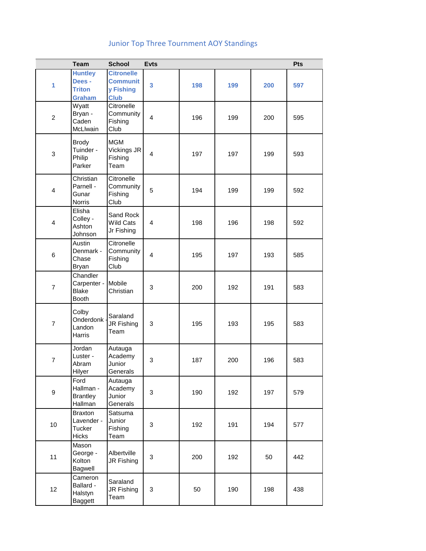## Junior Top Three Tournment AOY Standings

|                  | <b>Team</b>                                                   | <b>School</b>                                                    | <b>Evts</b>    |     |     |     | Pts |
|------------------|---------------------------------------------------------------|------------------------------------------------------------------|----------------|-----|-----|-----|-----|
| 1                | <b>Huntley</b><br>Dees -<br><b>Triton</b><br><b>Graham</b>    | <b>Citronelle</b><br><b>Communit</b><br>y Fishing<br><b>Club</b> | 3              | 198 | 199 | 200 | 597 |
| $\overline{c}$   | Wyatt<br>Bryan -<br>Caden<br>McLlwain                         | Citronelle<br>Community<br>Fishing<br>Club                       | 4              | 196 | 199 | 200 | 595 |
| 3                | <b>Brody</b><br>Tuinder -<br>Philip<br>Parker                 | <b>MGM</b><br>Vickings JR<br>Fishing<br>Team                     | $\overline{4}$ | 197 | 197 | 199 | 593 |
| $\overline{4}$   | Christian<br>Parnell -<br>Gunar<br>Norris                     | Citronelle<br>Community<br>Fishing<br>Club                       | 5              | 194 | 199 | 199 | 592 |
| 4                | Elisha<br>Colley -<br>Ashton<br>Johnson                       | Sand Rock<br>Wild Cats<br>Jr Fishing                             | $\overline{4}$ | 198 | 196 | 198 | 592 |
| $\,6$            | Austin<br>Denmark -<br>Chase<br><b>Bryan</b>                  | Citronelle<br>Community<br>Fishing<br>Club                       | $\overline{4}$ | 195 | 197 | 193 | 585 |
| $\overline{7}$   | Chandler<br>Carpenter -<br><b>Blake</b><br><b>Booth</b>       | Mobile<br>Christian                                              | 3              | 200 | 192 | 191 | 583 |
| $\overline{7}$   | Colby<br>Onderdonk<br>Landon<br>Harris                        | Saraland<br>JR Fishing<br>Team                                   | 3              | 195 | 193 | 195 | 583 |
| 7                | Jordan<br>Luster -<br>Abram<br><b>Hilyer</b>                  | Autauga<br>Academy<br>Junior<br>Generals                         | 3              | 187 | 200 | 196 | 583 |
| $\boldsymbol{9}$ | Ford<br>Hallman -<br><b>Brantley</b><br>Hallman               | Autauga<br>Academy<br>Junior<br>Generals                         | 3              | 190 | 192 | 197 | 579 |
| 10               | <b>Braxton</b><br>Lavender -<br><b>Tucker</b><br><b>Hicks</b> | Satsuma<br>Junior<br>Fishing<br>Team                             | 3              | 192 | 191 | 194 | 577 |
| 11               | Mason<br>George -<br>Kolton<br>Bagwell                        | Albertville<br>JR Fishing                                        | $\mathbf{3}$   | 200 | 192 | 50  | 442 |
| 12               | Cameron<br>Ballard -<br>Halstyn<br>Baggett                    | Saraland<br>JR Fishing<br>Team                                   | 3              | 50  | 190 | 198 | 438 |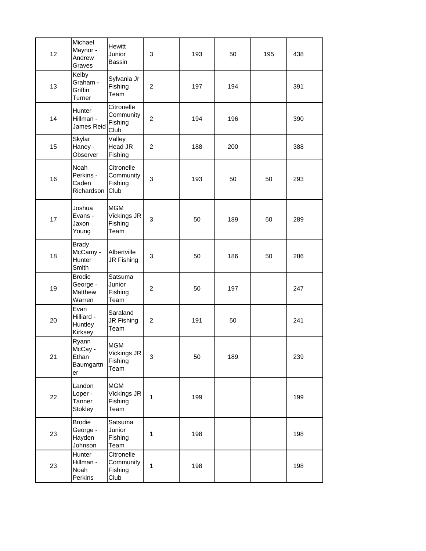| 12 | Michael<br>Maynor -<br>Andrew<br>Graves        | Hewitt<br>Junior<br>Bassin                   | $\ensuremath{\mathsf{3}}$ | 193 | 50  | 195 | 438 |  |
|----|------------------------------------------------|----------------------------------------------|---------------------------|-----|-----|-----|-----|--|
| 13 | Kelby<br>Graham -<br>Griffin<br>Turner         | Sylvania Jr<br>Fishing<br>Team               | $\overline{c}$            | 197 | 194 |     | 391 |  |
| 14 | Hunter<br>Hillman -<br>James Reid              | Citronelle<br>Community<br>Fishing<br>Club   | $\overline{c}$            | 194 | 196 |     | 390 |  |
| 15 | Skylar<br>Haney -<br>Observer                  | Valley<br>Head JR<br>Fishing                 | $\overline{c}$            | 188 | 200 |     | 388 |  |
| 16 | Noah<br>Perkins -<br>Caden<br>Richardson       | Citronelle<br>Community<br>Fishing<br>Club   | 3                         | 193 | 50  | 50  | 293 |  |
| 17 | Joshua<br>Evans -<br>Jaxon<br>Young            | <b>MGM</b><br>Vickings JR<br>Fishing<br>Team | 3                         | 50  | 189 | 50  | 289 |  |
| 18 | <b>Brady</b><br>McCamy -<br>Hunter<br>Smith    | Albertville<br>JR Fishing                    | 3                         | 50  | 186 | 50  | 286 |  |
| 19 | <b>Brodie</b><br>George -<br>Matthew<br>Warren | Satsuma<br>Junior<br>Fishing<br>Team         | $\overline{c}$            | 50  | 197 |     | 247 |  |
| 20 | Evan<br>Hilliard -<br>Huntley<br>Kirksey       | Saraland<br>JR Fishing<br>Team               | $\boldsymbol{2}$          | 191 | 50  |     | 241 |  |
| 21 | Ryann<br>McCay -<br>Ethan<br>Baumgartn<br>er   | <b>MGM</b><br>Vickings JR<br>Fishing<br>Team | $\ensuremath{\mathsf{3}}$ | 50  | 189 |     | 239 |  |
| 22 | Landon<br>Loper -<br>Tanner<br>Stokley         | <b>MGM</b><br>Vickings JR<br>Fishing<br>Team | $\mathbf{1}$              | 199 |     |     | 199 |  |
| 23 | <b>Brodie</b><br>George -<br>Hayden<br>Johnson | Satsuma<br>Junior<br>Fishing<br>Team         | $\mathbf{1}$              | 198 |     |     | 198 |  |
| 23 | Hunter<br>Hillman -<br>Noah<br>Perkins         | Citronelle<br>Community<br>Fishing<br>Club   | $\mathbf{1}$              | 198 |     |     | 198 |  |